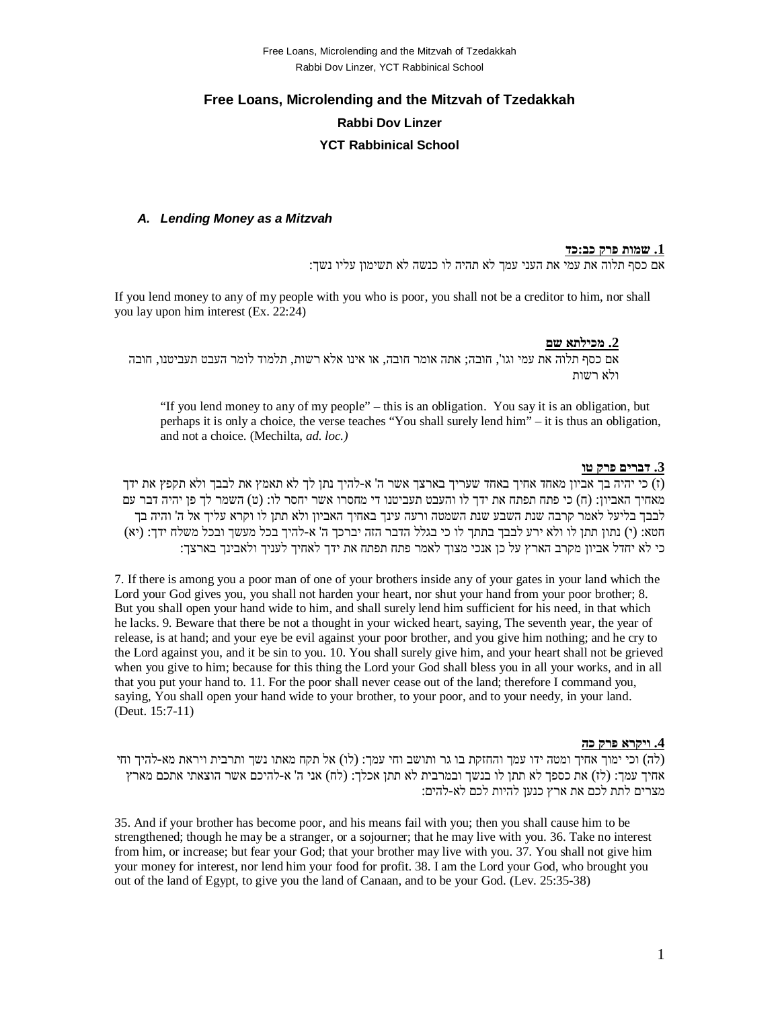# **Free Loans, Microlending and the Mitzvah of Tzedakkah Rabbi Dov Linzer YCT Rabbinical School**

#### *A. Lending Money as a Mitzvah*

#### **.1 שמות פרק כב:כד**

אם כסף תלוה את עמי את העני עמך לא תהיה לו כנשה לא תשימון עליו נשך:

If you lend money to any of my people with you who is poor, you shall not be a creditor to him, nor shall you lay upon him interest (Ex. 22:24)

#### **.2 מכילתא שם**

אם כסף תלוה את עמי וגו', חובה; אתה אומר חובה, או אינו אלא רשות, תלמוד לומר העבט תעביטנו, חובה ולא רשות

"If you lend money to any of my people" – this is an obligation. You say it is an obligation, but perhaps it is only a choice, the verse teaches "You shall surely lend him" – it is thus an obligation, and not a choice. (Mechilta, *ad. loc.)*

#### **.3 דברים פרק טו**

(ז) כי יהיה בך אביון מאחד אחיך באחד שעריך בארצך אשר ה' א-להיך נתן לך לא תאמץ את לבבך ולא תקפץ את ידך מאחיך האביון: (ח) כי פתח תפתח את ידך לו והעבט תעביטנו די מחסרו אשר יחסר לו: (ט) השמר לך פן יהיה דבר עם לבבך בליעל לאמר קרבה שנת השבע שנת השמטה ורעה עינך באחיך האביון ולא תתן לו וקרא עליך אל ה' והיה בך חטא: (י) נתון תתן לו ולא ירע לבבך בתתך לו כי בגלל הדבר הזה יברכך ה' א-להיך בכל מעשך ובכל משלח ידך: (יא) כי לא יחדל אביון מקרב הארץ על כן אנכי מצוך לאמר פתח תפתח את ידך לאחיך לעניך ולאבינך בארצך:

7. If there is among you a poor man of one of your brothers inside any of your gates in your land which the Lord your God gives you, you shall not harden your heart, nor shut your hand from your poor brother; 8. But you shall open your hand wide to him, and shall surely lend him sufficient for his need, in that which he lacks. 9. Beware that there be not a thought in your wicked heart, saying, The seventh year, the year of release, is at hand; and your eye be evil against your poor brother, and you give him nothing; and he cry to the Lord against you, and it be sin to you. 10. You shall surely give him, and your heart shall not be grieved when you give to him; because for this thing the Lord your God shall bless you in all your works, and in all that you put your hand to. 11. For the poor shall never cease out of the land; therefore I command you, saying, You shall open your hand wide to your brother, to your poor, and to your needy, in your land. (Deut. 15:7-11)

#### **.4 ויקרא פרק כה**

(לה) וכי ימוך אחיך ומטה ידו עמך והחזקת בו גר ותושב וחי עמך: (לו) אל תקח מאתו נשך ותרבית ויראת מא-להיך וחי אחיך עמך: (לז) את כספך לא תתן לו בנשך ובמרבית לא תתן אכלך: (לח) אני ה' א-להיכם אשר הוצאתי אתכם מארץ מצרים לתת לכם את ארץ כנען להיות לכם לא-להים:

35. And if your brother has become poor, and his means fail with you; then you shall cause him to be strengthened; though he may be a stranger, or a sojourner; that he may live with you. 36. Take no interest from him, or increase; but fear your God; that your brother may live with you. 37. You shall not give him your money for interest, nor lend him your food for profit. 38. I am the Lord your God, who brought you out of the land of Egypt, to give you the land of Canaan, and to be your God. (Lev. 25:35-38)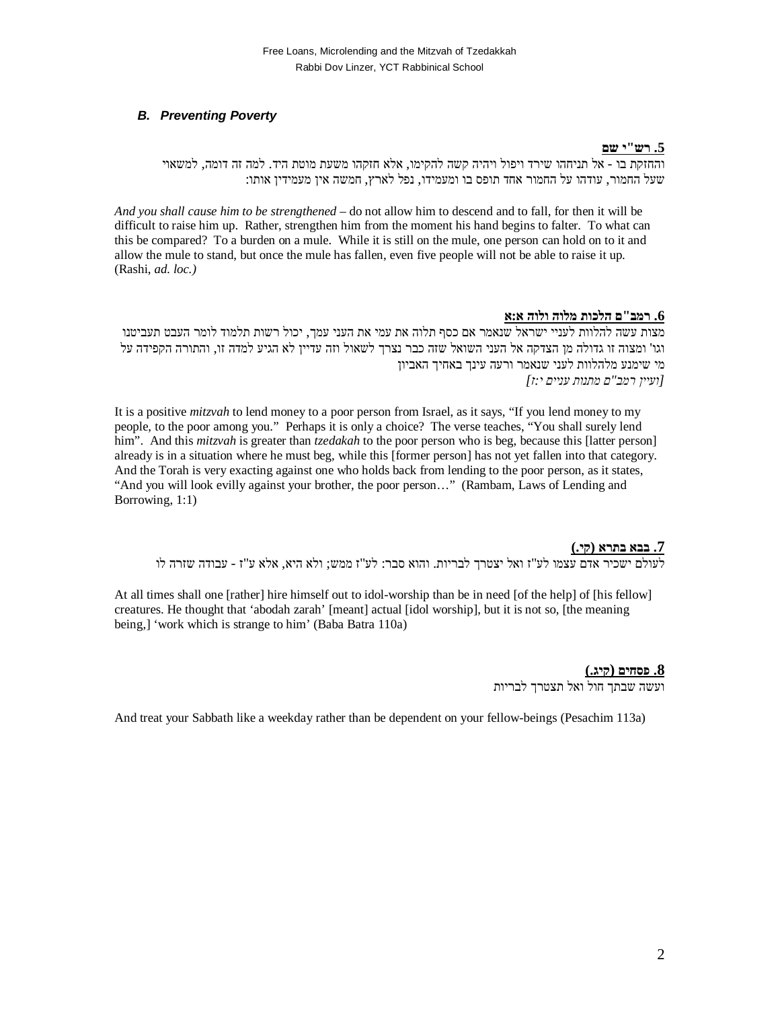## *B. Preventing Poverty*

## **.5 רש"י שם**

והחזקת בו - אל תניחהו שירד ויפול ויהיה קשה להקימו, אלא חזקהו משעת מוטת היד. למה זה דומה, למשאוי שעל החמור, עודהו על החמור אחד תופס בו ומעמידו, נפל לארץ, חמשה אין מעמידין אותו:

*And you shall cause him to be strengthened* – do not allow him to descend and to fall, for then it will be difficult to raise him up. Rather, strengthen him from the moment his hand begins to falter. To what can this be compared? To a burden on a mule. While it is still on the mule, one person can hold on to it and allow the mule to stand, but once the mule has fallen, even five people will not be able to raise it up. (Rashi, *ad. loc.)*

## **.6 רמב"ם הלכות מלוה ולוה א:א**

מצות עשה להלוות לעניי ישראל שנאמר אם כסף תלוה את עמי את העני עמך, יכול רשות תלמוד לומר העבט תעביטנו וגו' ומצוה זו גדולה מן הצדקה אל העני השואל שזה כבר נצרך לשאול וזה עדיין לא הגיע למדה זו, והתורה הקפידה על מי שימנע מלהלוות לעני שנאמר ורעה עינך באחיך האביון *[ועיין רמב"ם מתנות עניים י:ז]*

It is a positive *mitzvah* to lend money to a poor person from Israel, as it says, "If you lend money to my people, to the poor among you." Perhaps it is only a choice? The verse teaches, "You shall surely lend him". And this *mitzvah* is greater than *tzedakah* to the poor person who is beg, because this [latter person] already is in a situation where he must beg, while this [former person] has not yet fallen into that category. And the Torah is very exacting against one who holds back from lending to the poor person, as it states, "And you will look evilly against your brother, the poor person…" (Rambam, Laws of Lending and Borrowing, 1:1)

### **.7 בבא בתרא (קי.)**

לעולם ישכיר אדם עצמו לע"ז ואל יצטרך לבריות. והוא סבר: לע"ז ממש; ולא היא, אלא ע"ז - עבודה שזרה לו

At all times shall one [rather] hire himself out to idol-worship than be in need [of the help] of [his fellow] creatures. He thought that 'abodah zarah' [meant] actual [idol worship], but it is not so, [the meaning being,] 'work which is strange to him' (Baba Batra 110a)

## **.8 פסחים (קיג.)**

ועשה שבתך חול ואל תצטרך לבריות

And treat your Sabbath like a weekday rather than be dependent on your fellow-beings (Pesachim 113a)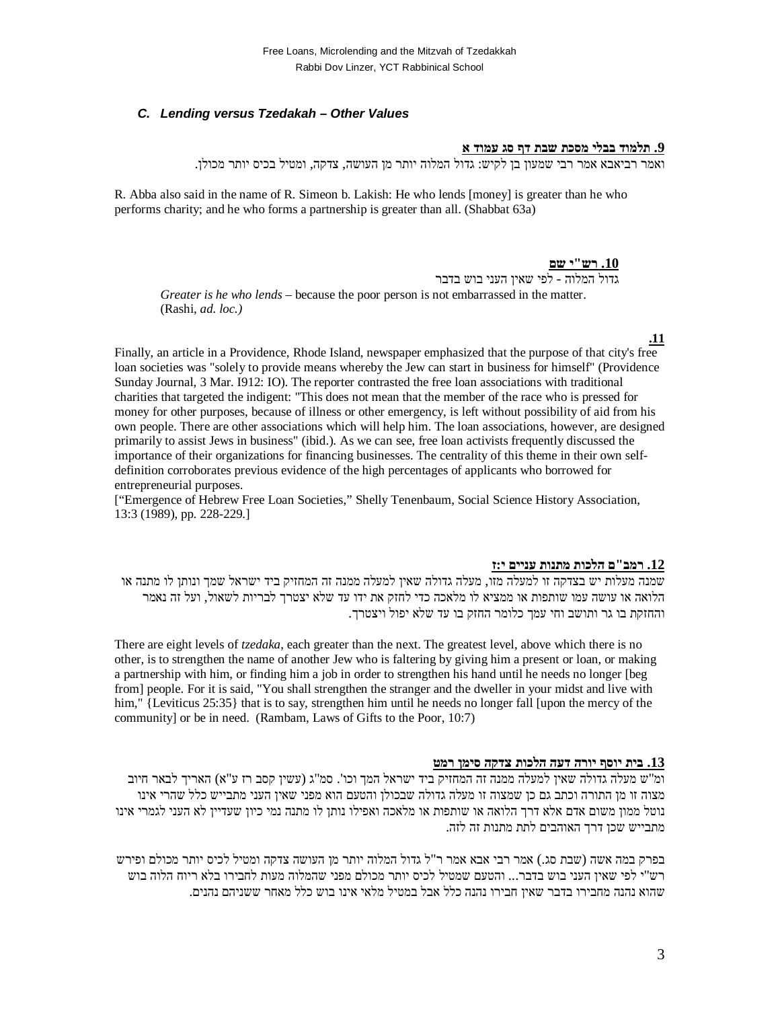## *C. Lending versus Tzedakah – Other Values*

## **.9 תלמוד בבלי מסכת שבת דף סג עמוד א**

ואמר רביאבא אמר רבי שמעון בן לקיש: גדול המלוה יותר מן העושה, צדקה, ומטיל בכיס יותר מכולן.

R. Abba also said in the name of R. Simeon b. Lakish: He who lends [money] is greater than he who performs charity; and he who forms a partnership is greater than all. (Shabbat 63a)

#### **.10 רש"י שם**

גדול המלוה - לפי שאין העני בוש בדבר *Greater is he who lends* – because the poor person is not embarrassed in the matter. (Rashi, *ad. loc.)*

#### **.11**

Finally, an article in a Providence, Rhode Island, newspaper emphasized that the purpose of that city's free loan societies was "solely to provide means whereby the Jew can start in business for himself" (Providence Sunday Journal, 3 Mar. I912: IO). The reporter contrasted the free loan associations with traditional charities that targeted the indigent: "This does not mean that the member of the race who is pressed for money for other purposes, because of illness or other emergency, is left without possibility of aid from his own people. There are other associations which will help him. The loan associations, however, are designed primarily to assist Jews in business" (ibid.). As we can see, free loan activists frequently discussed the importance of their organizations for financing businesses. The centrality of this theme in their own selfdefinition corroborates previous evidence of the high percentages of applicants who borrowed for entrepreneurial purposes.

["Emergence of Hebrew Free Loan Societies," Shelly Tenenbaum, Social Science History Association, 13:3 (1989), pp. 228-229.]

#### **.12 רמב"ם הלכות מתנות עניים י:ז**

שמנה מעלות יש בצדקה זו למעלה מזו, מעלה גדולה שאין למעלה ממנה זה המחזיק ביד ישראל שמך ונותן לו מתנה או הלואה או עושה עמו שותפות או ממציא לו מלאכה כדי לחזק את ידו עד שלא יצטרך לבריות לשאול, ועל זה נאמר והחזקת בו גר ותושב וחי עמך כלומר החזק בו עד שלא יפול ויצטרך.

There are eight levels of *tzedaka*, each greater than the next. The greatest level, above which there is no other, is to strengthen the name of another Jew who is faltering by giving him a present or loan, or making a partnership with him, or finding him a job in order to strengthen his hand until he needs no longer [beg from] people. For it is said, "You shall strengthen the stranger and the dweller in your midst and live with him," {Leviticus 25:35} that is to say, strengthen him until he needs no longer fall [upon the mercy of the community] or be in need. (Rambam, Laws of Gifts to the Poor, 10:7)

#### **.13 בית יוסף יורה דעה הלכות צדקה סימן רמט**

ומ"ש מעלה גדולה שאין למעלה ממנה זה המחזיק ביד ישראל המך וכו'. סמ"ג (עשין קסב רז ע"א) האריך לבאר חיוב מצוה זו מן התורה וכתב גם כן שמצוה זו מעלה גדולה שבכולן והטעם הוא מפני שאין העני מתבייש כלל שהרי אינו נוטל ממון משום אדם אלא דרך הלואה או שותפות או מלאכה ואפילו נותן לו מתנה נמי כיון שעדיין לא העני לגמרי אינו מתבייש שכן דרך האוהבים לתת מתנות זה לזה.

בפרק במה אשה (שבת סג.) אמר רבי אבא אמר ר"ל גדול המלוה יותר מן העושה צדקה ומטיל לכיס יותר מכולם ופירש רש"י לפי שאין העני בוש בדבר... והטעם שמטיל לכיס יותר מכולם מפני שהמלוה מעות לחבירו בלא ריוח הלוה בוש שהוא נהנה מחבירו בדבר שאין חבירו נהנה כלל אבל במטיל מלאי אינו בוש כלל מאחר ששניהם נהנים.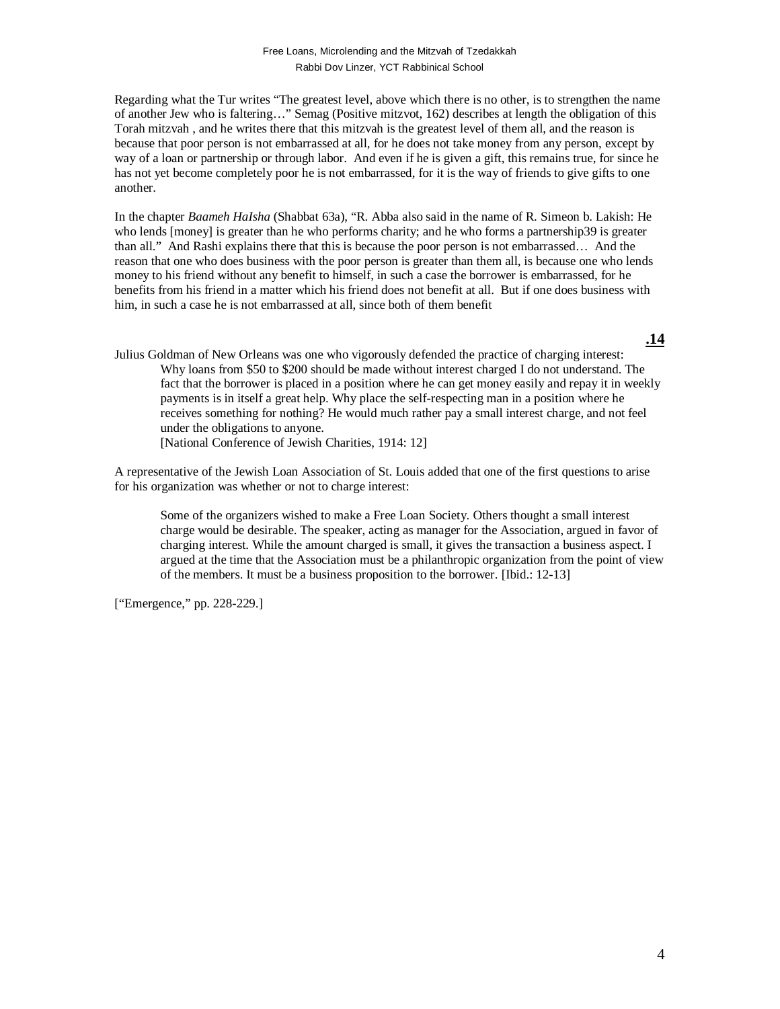Regarding what the Tur writes "The greatest level, above which there is no other, is to strengthen the name of another Jew who is faltering…" Semag (Positive mitzvot, 162) describes at length the obligation of this Torah mitzvah , and he writes there that this mitzvah is the greatest level of them all, and the reason is because that poor person is not embarrassed at all, for he does not take money from any person, except by way of a loan or partnership or through labor. And even if he is given a gift, this remains true, for since he has not yet become completely poor he is not embarrassed, for it is the way of friends to give gifts to one another.

In the chapter *Baameh HaIsha* (Shabbat 63a), "R. Abba also said in the name of R. Simeon b. Lakish: He who lends [money] is greater than he who performs charity; and he who forms a partnership39 is greater than all." And Rashi explains there that this is because the poor person is not embarrassed… And the reason that one who does business with the poor person is greater than them all, is because one who lends money to his friend without any benefit to himself, in such a case the borrower is embarrassed, for he benefits from his friend in a matter which his friend does not benefit at all. But if one does business with him, in such a case he is not embarrassed at all, since both of them benefit

- **.14**
- Julius Goldman of New Orleans was one who vigorously defended the practice of charging interest: Why loans from \$50 to \$200 should be made without interest charged I do not understand. The fact that the borrower is placed in a position where he can get money easily and repay it in weekly payments is in itself a great help. Why place the self-respecting man in a position where he receives something for nothing? He would much rather pay a small interest charge, and not feel under the obligations to anyone.

[National Conference of Jewish Charities, 1914: 12]

A representative of the Jewish Loan Association of St. Louis added that one of the first questions to arise for his organization was whether or not to charge interest:

Some of the organizers wished to make a Free Loan Society. Others thought a small interest charge would be desirable. The speaker, acting as manager for the Association, argued in favor of charging interest. While the amount charged is small, it gives the transaction a business aspect. I argued at the time that the Association must be a philanthropic organization from the point of view of the members. It must be a business proposition to the borrower. [Ibid.: 12-13]

["Emergence," pp. 228-229.]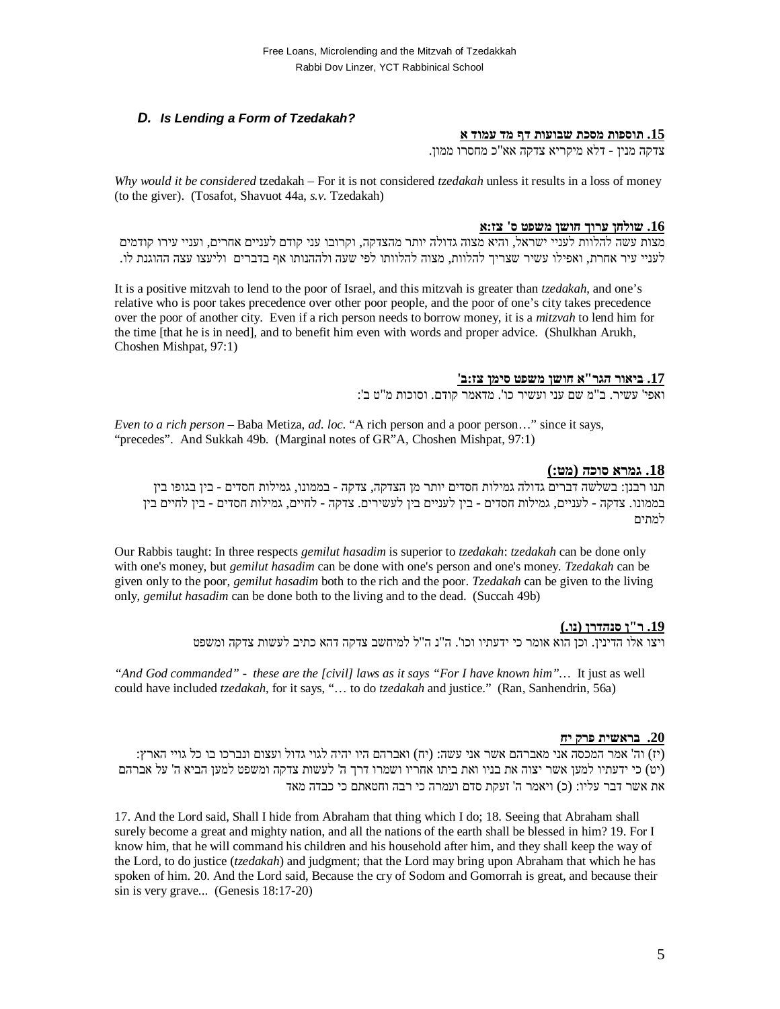## *D. Is Lending a Form of Tzedakah?*

#### **.15 תוספות מסכת שבועות דף מד עמוד א**

צדקה מנין - דלא מיקריא צדקה אא"כ מחסרו ממון.

*Why would it be considered* tzedakah – For it is not considered *tzedakah* unless it results in a loss of money (to the giver). (Tosafot, Shavuot 44a, *s.v.* Tzedakah)

#### **.16 שולחן ערוך חושן משפט ס' צז:א**

מצות עשה להלוות לעניי ישראל, והיא מצוה גדולה יותר מהצדקה, וקרובו עני קודם לעניים אחרים, ועניי עירו קודמים לעניי עיר אחרת, ואפילו עשיר שצריך להלוות, מצוה להלוותו לפי שעה ולההנותו אף בדברים וליעצו עצה ההוגנת לו.

It is a positive mitzvah to lend to the poor of Israel, and this mitzvah is greater than *tzedakah*, and one's relative who is poor takes precedence over other poor people, and the poor of one's city takes precedence over the poor of another city. Even if a rich person needs to borrow money, it is a *mitzvah* to lend him for the time [that he is in need], and to benefit him even with words and proper advice. (Shulkhan Arukh, Choshen Mishpat, 97:1)

## **.17 ביאור הגר"א חושן משפט סימן צז:ב'**

ואפי' עשיר. ב"מ שם עני ועשיר כו'. מדאמר קודם. וסוכות מ"ט ב':

*Even to a rich person –* Baba Metiza, *ad. loc.* "A rich person and a poor person…" since it says, "precedes". And Sukkah 49b. (Marginal notes of GR"A, Choshen Mishpat, 97:1)

### **.18 גמרא סוכה (מט:)**

תנו רבנן: בשלשה דברים גדולה גמילות חסדים יותר מן הצדקה, צדקה - בממונו, גמילות חסדים - בין בגופו בין בממונו. צדקה - לעניים, גמילות חסדים - בין לעניים בין לעשירים. צדקה - לחיים, גמילות חסדים - בין לחיים בין למתים

Our Rabbis taught: In three respects *gemilut hasadim* is superior to *tzedakah*: *tzedakah* can be done only with one's money, but *gemilut hasadim* can be done with one's person and one's money. *Tzedakah* can be given only to the poor, *gemilut hasadim* both to the rich and the poor. *Tzedakah* can be given to the living only, *gemilut hasadim* can be done both to the living and to the dead. (Succah 49b)

## **.19 ר"ן סנהדרן (נו.)**

ויצו אלו הדינין. וכן הוא אומר כי ידעתיו וכו'. ה"נ ה"ל למיחשב צדקה דהא כתיב לעשות צדקה ומשפט

*"And God commanded" - these are the [civil] laws as it says "For I have known him"…* It just as well could have included *tzedakah*, for it says, "… to do *tzedakah* and justice." (Ran, Sanhendrin, 56a)

### **.20 בראשית פרק יח**

(יז) וה' אמר המכסה אני מאברהם אשר אני עשה: (יח) ואברהם היו יהיה לגוי גדול ועצום ונברכו בו כל גויי הארץ: (יט) כי ידעתיו למען אשר יצוה את בניו ואת ביתו אחריו ושמרו דרך ה' לעשות צדקה ומשפט למען הביא ה' על אברהם את אשר דבר עליו: (כ) ויאמר ה' זעקת סדם ועמרה כי רבה וחטאתם כי כבדה מאד

17. And the Lord said, Shall I hide from Abraham that thing which I do; 18. Seeing that Abraham shall surely become a great and mighty nation, and all the nations of the earth shall be blessed in him? 19. For I know him, that he will command his children and his household after him, and they shall keep the way of the Lord, to do justice (*tzedakah*) and judgment; that the Lord may bring upon Abraham that which he has spoken of him. 20. And the Lord said, Because the cry of Sodom and Gomorrah is great, and because their sin is very grave... (Genesis 18:17-20)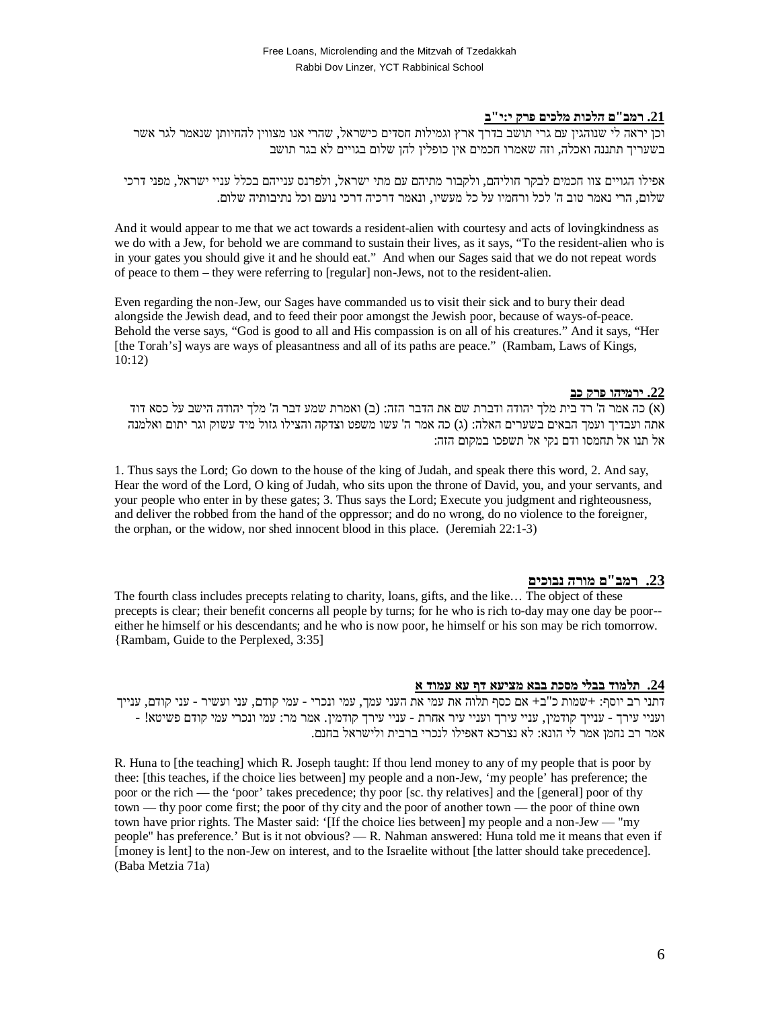## **.21 רמב"ם הלכות מלכים פרק י:י"ב**

וכן יראה לי שנוהגין עם גרי תושב בדרך ארץ וגמילות חסדים כישראל, שהרי אנו מצווין להחיותן שנאמר לגר אשר בשעריך תתננה ואכלה, וזה שאמרו חכמים אין כופלין להן שלום בגויים לא בגר תושב

אפילו הגויים צוו חכמים לבקר חוליהם, ולקבור מתיהם עם מתי ישראל, ולפרנס ענייהם בכלל עניי ישראל, מפני דרכי שלום, הרי נאמר טוב ה' לכל ורחמיו על כל מעשיו, ונאמר דרכיה דרכי נועם וכל נתיבותיה שלום.

And it would appear to me that we act towards a resident-alien with courtesy and acts of lovingkindness as we do with a Jew, for behold we are command to sustain their lives, as it says, "To the resident-alien who is in your gates you should give it and he should eat." And when our Sages said that we do not repeat words of peace to them – they were referring to [regular] non-Jews, not to the resident-alien.

Even regarding the non-Jew, our Sages have commanded us to visit their sick and to bury their dead alongside the Jewish dead, and to feed their poor amongst the Jewish poor, because of ways-of-peace. Behold the verse says, "God is good to all and His compassion is on all of his creatures." And it says, "Her [the Torah's] ways are ways of pleasantness and all of its paths are peace." (Rambam, Laws of Kings, 10:12)

#### **.22 ירמיהו פרק כב**

(א) כה אמר ה' רד בית מלך יהודה ודברת שם את הדבר הזה: (ב) ואמרת שמע דבר ה' מלך יהודה הישב על כסא דוד אתה ועבדיך ועמך הבאים בשערים האלה: (ג) כה אמר ה' עשו משפט וצדקה והצילו גזול מיד עשוק וגר יתום ואלמנה אל תנו אל תחמסו ודם נקי אל תשפכו במקום הזה:

1. Thus says the Lord; Go down to the house of the king of Judah, and speak there this word, 2. And say, Hear the word of the Lord, O king of Judah, who sits upon the throne of David, you, and your servants, and your people who enter in by these gates; 3. Thus says the Lord; Execute you judgment and righteousness, and deliver the robbed from the hand of the oppressor; and do no wrong, do no violence to the foreigner, the orphan, or the widow, nor shed innocent blood in this place. (Jeremiah 22:1-3)

## **.23 רמב"ם מורה נבוכים**

The fourth class includes precepts relating to charity, loans, gifts, and the like… The object of these precepts is clear; their benefit concerns all people by turns; for he who is rich to-day may one day be poor- either he himself or his descendants; and he who is now poor, he himself or his son may be rich tomorrow. {Rambam, Guide to the Perplexed, 3:35]

### **.24 תלמוד בבלי מסכת בבא מציעא דף עא עמוד א**

דתני רב יוסף: +שמות כ"ב+ אם כסף תלוה את עמי את העני עמך, עמי ונכרי - עמי קודם, עני ועשיר - עני קודם, ענייך ועניי עירך - ענייך קודמין, עניי עירך ועניי עיר אחרת - עניי עירך קודמין. אמר מר: עמי ונכרי עמי קודם פשיטא! - אמר רב נחמן אמר לי הונא: לא נצרכא דאפילו לנכרי ברבית ולישראל בחנם.

R. Huna to [the teaching] which R. Joseph taught: If thou lend money to any of my people that is poor by thee: [this teaches, if the choice lies between] my people and a non-Jew, 'my people' has preference; the poor or the rich — the 'poor' takes precedence; thy poor [sc. thy relatives] and the [general] poor of thy town — thy poor come first; the poor of thy city and the poor of another town — the poor of thine own town have prior rights. The Master said: '[If the choice lies between] my people and a non-Jew — "my people" has preference.' But is it not obvious? — R. Nahman answered: Huna told me it means that even if [money is lent] to the non-Jew on interest, and to the Israelite without [the latter should take precedence]. (Baba Metzia 71a)